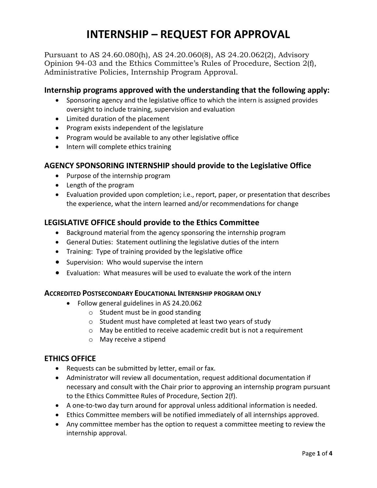# **INTERNSHIP – REQUEST FOR APPROVAL**

Pursuant to AS 24.60.080(h), AS 24.20.060(8), AS 24.20.062(2), Advisory Opinion 94-03 and the Ethics Committee's Rules of Procedure, Section 2(f), Administrative Policies, Internship Program Approval.

## **Internship programs approved with the understanding that the following apply:**

- Sponsoring agency and the legislative office to which the intern is assigned provides oversight to include training, supervision and evaluation
- Limited duration of the placement
- Program exists independent of the legislature
- Program would be available to any other legislative office
- Intern will complete ethics training

# **AGENCY SPONSORING INTERNSHIP should provide to the Legislative Office**

- Purpose of the internship program
- Length of the program
- Evaluation provided upon completion; i.e., report, paper, or presentation that describes the experience, what the intern learned and/or recommendations for change

# **LEGISLATIVE OFFICE should provide to the Ethics Committee**

- Background material from the agency sponsoring the internship program
- General Duties: Statement outlining the legislative duties of the intern
- Training: Type of training provided by the legislative office
- Supervision: Who would supervise the intern
- Evaluation: What measures will be used to evaluate the work of the intern

## **ACCREDITED POSTSECONDARY EDUCATIONAL INTERNSHIP PROGRAM ONLY**

- Follow general guidelines in AS 24.20.062
	- o Student must be in good standing
	- o Student must have completed at least two years of study
	- o May be entitled to receive academic credit but is not a requirement
	- o May receive a stipend

## **ETHICS OFFICE**

- Requests can be submitted by letter, email or fax.
- Administrator will review all documentation, request additional documentation if necessary and consult with the Chair prior to approving an internship program pursuant to the Ethics Committee Rules of Procedure, Section 2(f).
- A one-to-two day turn around for approval unless additional information is needed.
- Ethics Committee members will be notified immediately of all internships approved.
- Any committee member has the option to request a committee meeting to review the internship approval.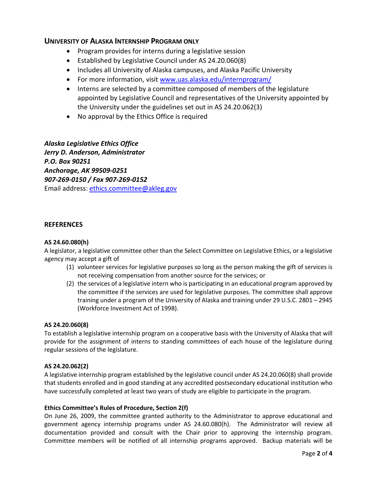## **UNIVERSITY OF ALASKA INTERNSHIP PROGRAM ONLY**

- Program provides for interns during a legislative session
- Established by Legislative Council under AS 24.20.060(8)
- Includes all University of Alaska campuses, and Alaska Pacific University
- For more information, visit [www.uas.alaska.edu/internprogram/](http://www.uas.alaska.edu/internprogram/)
- Interns are selected by a committee composed of members of the legislature appointed by Legislative Council and representatives of the University appointed by the University under the guidelines set out in AS 24.20.062(3)
- No approval by the Ethics Office is required

*Alaska Legislative Ethics Office Jerry D. Anderson, Administrator P.O. Box 90251 Anchorage, AK 99509-0251 907-269-0150 / Fax 907-269-0152*  Email address: [ethics.committee@akleg.gov](mailto:ethics.committee@akleg.gov)

#### **REFERENCES**

#### **AS 24.60.080(h)**

A legislator, a legislative committee other than the Select Committee on Legislative Ethics, or a legislative agency may accept a gift of

- (1) volunteer services for legislative purposes so long as the person making the gift of services is not receiving compensation from another source for the services; or
- (2) the services of a legislative intern who is participating in an educational program approved by the committee if the services are used for legislative purposes. The committee shall approve training under a program of the University of Alaska and training under 29 U.S.C. 2801 – 2945 (Workforce Investment Act of 1998).

#### **AS 24.20.060(8)**

To establish a legislative internship program on a cooperative basis with the University of Alaska that will provide for the assignment of interns to standing committees of each house of the legislature during regular sessions of the legislature.

#### **AS 24.20.062(2)**

A legislative internship program established by the legislative council under AS 24.20.060(8) shall provide that students enrolled and in good standing at any accredited postsecondary educational institution who have successfully completed at least two years of study are eligible to participate in the program.

#### **Ethics Committee's Rules of Procedure, Section 2(f)**

On June 26, 2009, the committee granted authority to the Administrator to approve educational and government agency internship programs under AS 24.60.080(h). The Administrator will review all documentation provided and consult with the Chair prior to approving the internship program. Committee members will be notified of all internship programs approved. Backup materials will be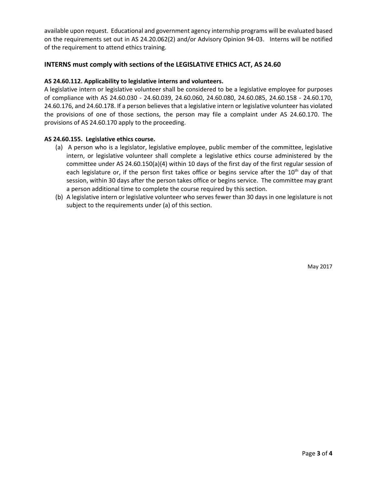available upon request. Educational and government agency internship programs will be evaluated based on the requirements set out in AS 24.20.062(2) and/or Advisory Opinion 94-03. Interns will be notified of the requirement to attend ethics training.

### **INTERNS must comply with sections of the LEGISLATIVE ETHICS ACT, AS 24.60**

#### **AS 24.60.112. Applicability to legislative interns and volunteers.**

A legislative intern or legislative volunteer shall be considered to be a legislative employee for purposes of compliance with AS 24.60.030 - 24.60.039, 24.60.060, 24.60.080, 24.60.085, 24.60.158 - 24.60.170, 24.60.176, and 24.60.178. If a person believes that a legislative intern or legislative volunteer has violated the provisions of one of those sections, the person may file a complaint under AS 24.60.170. The provisions of AS 24.60.170 apply to the proceeding.

#### **AS 24.60.155. Legislative ethics course.**

- (a) A person who is a legislator, legislative employee, public member of the committee, legislative intern, or legislative volunteer shall complete a legislative ethics course administered by the committee under AS 24.60.150(a)(4) within 10 days of the first day of the first regular session of each legislature or, if the person first takes office or begins service after the  $10<sup>th</sup>$  day of that session, within 30 days after the person takes office or begins service. The committee may grant a person additional time to complete the course required by this section.
- (b) A legislative intern or legislative volunteer who serves fewer than 30 days in one legislature is not subject to the requirements under (a) of this section.

May 2017